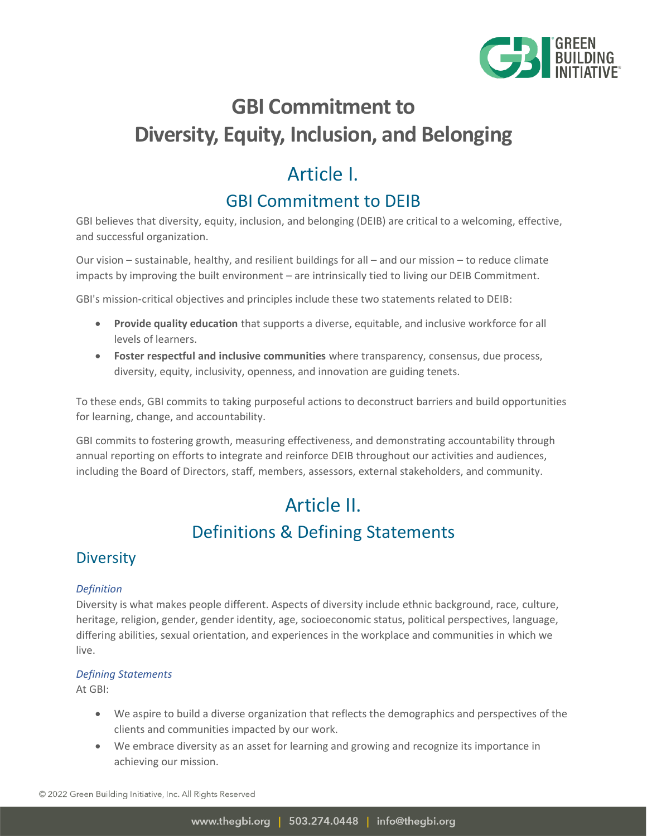

# **GBI Commitment to Diversity, Equity, Inclusion, and Belonging**

## Article I.

## GBI Commitment to DEIB

GBI believes that diversity, equity, inclusion, and belonging (DEIB) are critical to a welcoming, effective, and successful organization.

Our vision – sustainable, healthy, and resilient buildings for all – and our mission – to reduce climate impacts by improving the built environment – are intrinsically tied to living our DEIB Commitment.

GBI's mission-critical objectives and principles include these two statements related to DEIB:

- **Provide quality education** that supports a diverse, equitable, and inclusive workforce for all levels of learners.
- **Foster respectful and inclusive communities** where transparency, consensus, due process, diversity, equity, inclusivity, openness, and innovation are guiding tenets.

To these ends, GBI commits to taking purposeful actions to deconstruct barriers and build opportunities for learning, change, and accountability.

GBI commits to fostering growth, measuring effectiveness, and demonstrating accountability through annual reporting on efforts to integrate and reinforce DEIB throughout our activities and audiences, including the Board of Directors, staff, members, assessors, external stakeholders, and community.

# Article II. Definitions & Defining Statements

### **Diversity**

#### *Definition*

Diversity is what makes people different. Aspects of diversity include ethnic background, race, culture, heritage, religion, gender, gender identity, age, socioeconomic status, political perspectives, language, differing abilities, sexual orientation, and experiences in the workplace and communities in which we live.

#### *Defining Statements*

At GBI:

- We aspire to build a diverse organization that reflects the demographics and perspectives of the clients and communities impacted by our work.
- We embrace diversity as an asset for learning and growing and recognize its importance in achieving our mission.

© 2022 Green Building Initiative, Inc. All Rights Reserved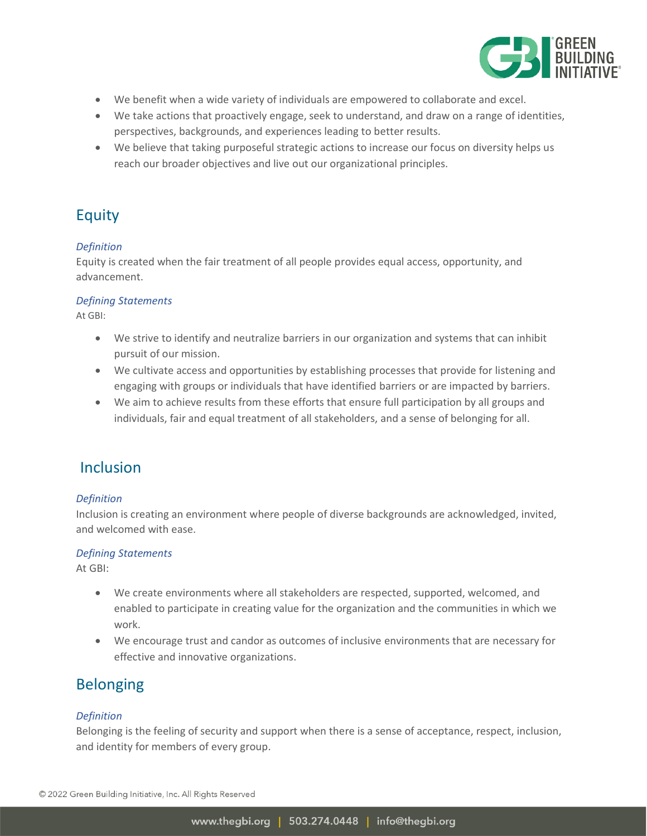

- We benefit when a wide variety of individuals are empowered to collaborate and excel.
- We take actions that proactively engage, seek to understand, and draw on a range of identities, perspectives, backgrounds, and experiences leading to better results.
- We believe that taking purposeful strategic actions to increase our focus on diversity helps us reach our broader objectives and live out our organizational principles.

### Equity

#### *Definition*

Equity is created when the fair treatment of all people provides equal access, opportunity, and advancement.

#### *Defining Statements*

At GBI:

- We strive to identify and neutralize barriers in our organization and systems that can inhibit pursuit of our mission.
- We cultivate access and opportunities by establishing processes that provide for listening and engaging with groups or individuals that have identified barriers or are impacted by barriers.
- We aim to achieve results from these efforts that ensure full participation by all groups and individuals, fair and equal treatment of all stakeholders, and a sense of belonging for all.

#### Inclusion

#### *Definition*

Inclusion is creating an environment where people of diverse backgrounds are acknowledged, invited, and welcomed with ease.

#### *Defining Statements*

At GBI:

- We create environments where all stakeholders are respected, supported, welcomed, and enabled to participate in creating value for the organization and the communities in which we work.
- We encourage trust and candor as outcomes of inclusive environments that are necessary for effective and innovative organizations.

### Belonging

#### *Definition*

Belonging is the feeling of security and support when there is a sense of acceptance, respect, inclusion, and identity for members of every group.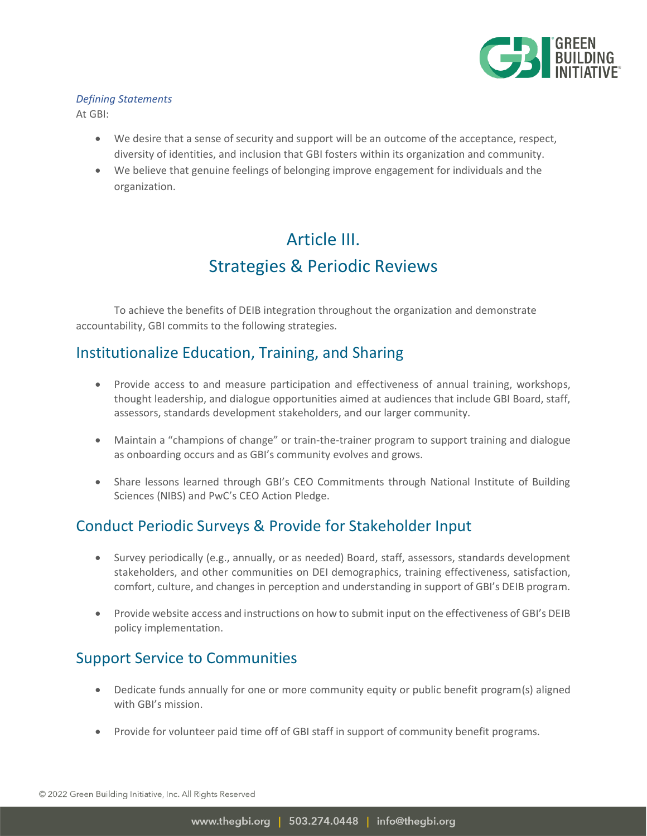

#### *Defining Statements*

At GBI:

- We desire that a sense of security and support will be an outcome of the acceptance, respect, diversity of identities, and inclusion that GBI fosters within its organization and community.
- We believe that genuine feelings of belonging improve engagement for individuals and the organization.

## Article III. Strategies & Periodic Reviews

To achieve the benefits of DEIB integration throughout the organization and demonstrate accountability, GBI commits to the following strategies.

### Institutionalize Education, Training, and Sharing

- Provide access to and measure participation and effectiveness of annual training, workshops, thought leadership, and dialogue opportunities aimed at audiences that include GBI Board, staff, assessors, standards development stakeholders, and our larger community.
- Maintain a "champions of change" or train-the-trainer program to support training and dialogue as onboarding occurs and as GBI's community evolves and grows.
- Share lessons learned through GBI's CEO Commitments through National Institute of Building Sciences (NIBS) and PwC's CEO Action Pledge.

### Conduct Periodic Surveys & Provide for Stakeholder Input

- Survey periodically (e.g., annually, or as needed) Board, staff, assessors, standards development stakeholders, and other communities on DEI demographics, training effectiveness, satisfaction, comfort, culture, and changes in perception and understanding in support of GBI's DEIB program.
- Provide website access and instructions on how to submit input on the effectiveness of GBI's DEIB policy implementation.

### Support Service to Communities

- Dedicate funds annually for one or more community equity or public benefit program(s) aligned with GBI's mission.
- Provide for volunteer paid time off of GBI staff in support of community benefit programs.